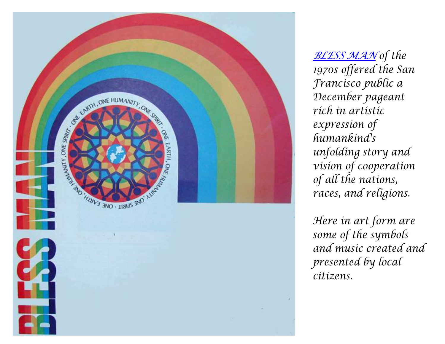

*[BLESS MAN](http://traubman.igc.org/blessman.pdf) of the 1970s offered the San Francisco public a December pageant rich in artistic expression of humankind's unfolding story and vision of cooperation of all the nations, races, and religions.*

*Here in art form are some of the symbols and music created and presented by local citizens.*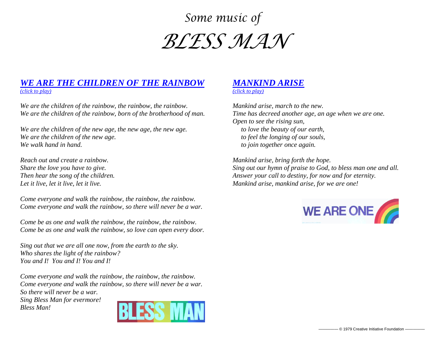## *Some music of BLESS MAN*

## *[WE ARE THE CHILDREN OF THE RAINBOW](http://traubman.igc.org/blessmanrainbow.mp3) [\(click to play\)](http://traubman.igc.org/blessmanrainbow.mp3)*

*We are the children of the rainbow, the rainbow, the rainbow. We are the children of the rainbow, born of the brotherhood of man.*

*We are the children of the new age, the new age, the new age. We are the children of the new age. We walk hand in hand.*

*Reach out and create a rainbow. Share the love you have to give. Then hear the song of the children. Let it live, let it live, let it live.*

*Come everyone and walk the rainbow, the rainbow, the rainbow. Come everyone and walk the rainbow, so there will never be a war.*

*Come be as one and walk the rainbow, the rainbow, the rainbow. Come be as one and walk the rainbow, so love can open every door.*

*Sing out that we are all one now, from the earth to the sky. Who shares the light of the rainbow? You and I! You and I! You and I!*

*Come everyone and walk the rainbow, the rainbow, the rainbow. Come everyone and walk the rainbow, so there will never be a war. So there will never be a war. Sing Bless Man for evermore!*

*Bless Man!*



## *[MANKIND ARISE](http://traubman.igc.org/blessmanarise.mp3)*

*[\(click to play\)](http://traubman.igc.org/blessmanarise.mp3)*

*Mankind arise, march to the new. Time has decreed another age, an age when we are one. Open to see the rising sun, to love the beauty of our earth, to feel the longing of our souls, to join together once again.*

*Mankind arise, bring forth the hope. Sing out our hymn of praise to God, to bless man one and all. Answer your call to destiny, for now and for eternity. Mankind arise, mankind arise, for we are one!*